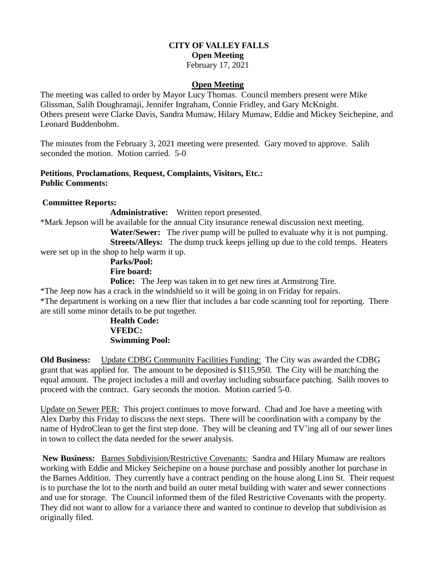# **CITY OF VALLEY FALLS Open Meeting**

#### February 17, 2021

#### **Open Meeting**

The meeting was called to order by Mayor Lucy Thomas. Council members present were Mike Glissman, Salih Doughramaji, Jennifer Ingraham, Connie Fridley, and Gary McKnight. Others present were Clarke Davis, Sandra Mumaw, Hilary Mumaw, Eddie and Mickey Seichepine, and Leonard Buddenbohm.

The minutes from the February 3, 2021 meeting were presented. Gary moved to approve. Salih seconded the motion. Motion carried. 5-0

## **Petitions**, **Proclamations**, **Request, Complaints, Visitors, Etc.: Public Comments:**

#### **Committee Reports:**

**Administrative:** Written report presented.

\*Mark Jepson will be available for the annual City insurance renewal discussion next meeting.

 **Water/Sewer:** The river pump will be pulled to evaluate why it is not pumping. **Streets/Alleys:** The dump truck keeps jelling up due to the cold temps. Heaters were set up in the shop to help warm it up.

## **Parks/Pool: Fire board:**

**Police:** The Jeep was taken in to get new tires at Armstrong Tire.

\*The Jeep now has a crack in the windshield so it will be going in on Friday for repairs. \*The department is working on a new flier that includes a bar code scanning tool for reporting. There are still some minor details to be put together.

## **Health Code: VFEDC: Swimming Pool:**

**Old Business:** Update CDBG Community Facilities Funding: The City was awarded the CDBG grant that was applied for. The amount to be deposited is \$115,950. The City will be matching the equal amount. The project includes a mill and overlay including subsurface patching. Salih moves to proceed with the contract. Gary seconds the motion. Motion carried 5-0.

Update on Sewer PER: This project continues to move forward. Chad and Joe have a meeting with Alex Darby this Friday to discuss the next steps. There will be coordination with a company by the name of HydroClean to get the first step done. They will be cleaning and TV'ing all of our sewer lines in town to collect the data needed for the sewer analysis.

**New Business:** Barnes Subdivision/Restrictive Covenants: Sandra and Hilary Mumaw are realtors working with Eddie and Mickey Seichepine on a house purchase and possibly another lot purchase in the Barnes Addition. They currently have a contract pending on the house along Linn St. Their request is to purchase the lot to the north and build an outer metal building with water and sewer connections and use for storage. The Council informed them of the filed Restrictive Covenants with the property. They did not want to allow for a variance there and wanted to continue to develop that subdivision as originally filed.